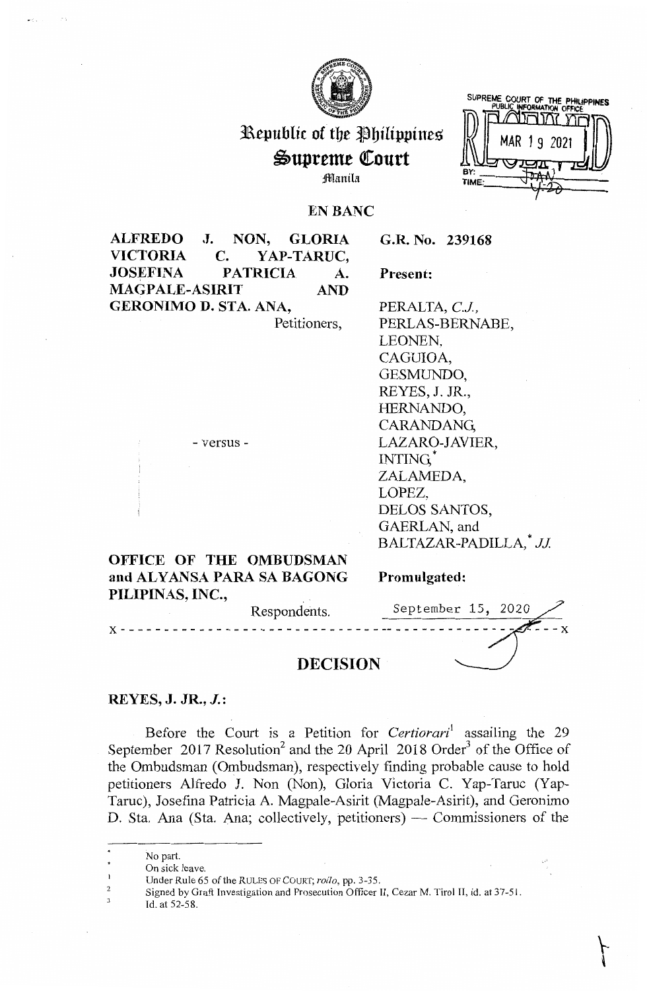

 $\mathbb{R}$ epublic of the Philippines  $\mathbb{R}$   $\mathbb{R}$  MAR 19 2021

:ffl,anila

SUPREME COURT OF THE **PHILIPPINES**  PUBLIC **INFORMATION** OFFICE

\-

## **EN BANC**

**ALFREDO J. NON, GLORIA VICTORIA C. YAP-TARUC, JOSEFINA PATRICIA** A. **MAGPALE-ASIRIT AND GERONIMO D. STA. ANA,** 

Petitioners,

**G.R. No. 239168** 

**Present:** 

PERALTA, C.J., PERLAS-BERNABE, LEONEN, CAGUIOA, GESMUNDO, REYES, J. JR., HERNANDO, CARANDANG, LAZARO-JAVIER, INTING,\* ZALAMEDA, LOPEZ, DELOS SANTOS, GAERLAN, and BALTAZAR-PADILLA, *JJ*.

# **OFFICE OF THE OMBUDSMAN and ALYANSA PARA SA BAGONG PILIPINAS, INC.**

- versus -

**Promulgated:** 

| Respondents.    | September 15, 2020 |  |       |
|-----------------|--------------------|--|-------|
|                 |                    |  | $- x$ |
| <b>DECISION</b> |                    |  |       |

**REYES, J. JR., J.:** 

Before the Court is a Petition for *Certiorari*<sup>1</sup> assailing the 29 September 2017 Resolution<sup>2</sup> and the 20 April 2018 Order<sup>3</sup> of the Office of the Ombudsman (Ombudsman), respectively finding probable cause to hold petitioners Alfredo J. Non (Non), Gloria Victoria C. Yap-Taruc (Yap-Taruc ), Josefina Patricia A. Magpale-Asirit (Magpale-Asirit), and Geronimo D. Sta. Ana (Sta. Ana; collectively, petitioners) — Commissioners of the

No part.

 $\overline{2}$ 3 On sick leave.

Under Rule 65 of the RULES OF COURT; *rollo,* pp. 3-35.

Signed by Graft Investigation and Prosecution Officer II, Cezar M. Tirol II, id. at 37-51.

Id. at 52-58.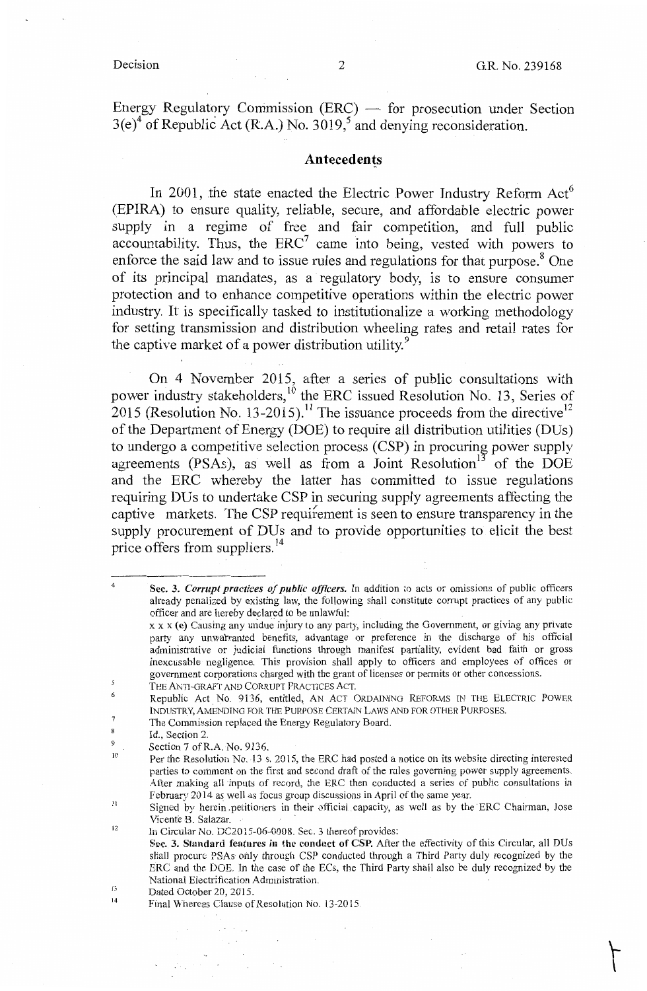$\sim 10^{11}$ 

 $\Gamma$ 

Energy Regulatory Commission (ERC) - for prosecution under Section  $3(e)^4$  of Republic Act (R.A.) No.  $3019$ , and denying reconsideration.

### **Antecedents**

In 2001, the state enacted the Electric Power Industry Reform  $Act<sup>6</sup>$ (EPIRA) to ensure quality, reliable, secure, and affordable electric power supply in a regime of free and fair competition, and full public accountability. Thus, the  $ERC<sup>7</sup>$  came into being, vested with powers to enforce the said law and to issue rules and regulations for that purpose. $8$  One of its principal mandates, as a regulatory body, is to ensure consumer protection and to enhance competitive operations within the electric power industry. It is specifically tasked to institutionalize a working methodology for setting transmission and distribution wheeling rates and retail rates for the captive market of a power distribution utility.<sup>9</sup>

On 4 November 2015, after a series of public consultations with power industry stakeholders,<sup>10</sup> the ERC issued Resolution No. 13, Series of 2015 (Resolution No. 13-2015).<sup>11</sup> The issuance proceeds from the directive<sup>12</sup> of the Department of Energy (DOE) to require all distribution utilities (DUs) to undergo a competitive selection process (CSP) in procuring power supply agreements (PSAs), as well as from a Joint Resolution<sup>13</sup> of the DOE and the ERC whereby the latter has committed to issue regulations requiring DUs to undertake CSP in securing supply agreements affecting the captive markets. The CSP requifement is seen to ensure transparency in the supply procurement of DUs and to provide opportunities to elicit the best price offers from suppliers.<sup>14</sup>

4

 $\mathcal{L}_{\text{max}}$  and  $\mathcal{L}_{\text{max}}$  .

 $\lambda_{\rm{max}}$  ,  $\lambda_{\rm{max}}$ 

**Sec. 3.** *Corrupt practices of public officers.* In addition to acts or omissions of public officers already penaiized by existing law, the following shall constitute corrupt practices of any public officer and are hereby declared to be unlawful:

XX X **(e)** Causing any undue injury to any party, including the Government, or giving any private party any unwarranted benefits, advantage or preference in the discharge of his official admimstrative or judicial functions through manifest partiality, evident bad faith or gross inexcusable negligence. This provision shall apply to officers and employees of offices or government corporations charged with the grant of licenses or permits or other concessions.

 $\overline{5}$ THE ANTI-GRAFT AND CORRUPT PRACTICES ACT.

<sup>6</sup>  Republic Act No. 9136, entitled, AN ACT ORDAINING REFORMS IN THE ELECTRIC POWER INDUSTRY, AMENDING FOR THE PURPOSE CERTAIN LAWS AND FOR OTHER PURPOSES.  $\overline{7}$ 

The Commission replaced the Energy Regulatory Board.

 $\overline{\mathbf{8}}$ Id., Section 2. 9

Section 7 of R.A. No. 9136.

IO Per the Resolution No, 13 s. 2015, the ERC had posted a notice on its website directing interested parties to comment on the first and second draft of the rules governing power supply agreements. After making all inputs of record, the ERC then conducted a series of public consultations in February 2014 as well as focus group discussions in April of the same year.

II Signed by herein petitioners in their official capacity, as well as by the ERC Chairman, Jose Vicente B. Salazar.

<sup>12</sup> In Circular No.DC2015-06-0008. Sec. 3 thereof provides:

Sec. 3. Standard features in the conduct of CSP. After the effectivity of this Circular, all DUs shall procure PSAs only through CSP conducted through a Third Party duly recognized by the ERC and the DOE In the case of the ECs, the Third Pany shall also be duly recognized by the National Electrification Administration.

<sup>15</sup> Dated October 20, 2015.

<sup>14</sup> Final Whereas Clause of Resolution No. 13-2015.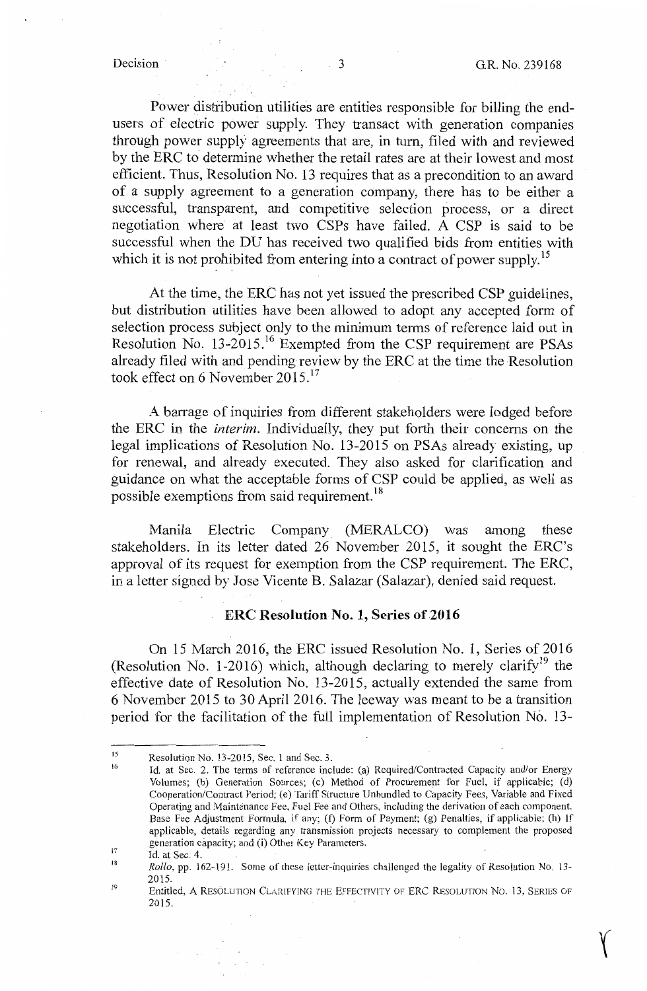**f** 

Power distribution utilities are entities responsible for billing the endusers of electric power supply. They transact with generation companies through power supply agreements that are, in tum, filed with and reviewed by the ERC to determine whether the retail rates are at their lowest and most efficient. Thus, Resolution No. 13 requires that as a precondition to an award of a supply agreement to a generation company, there has to be either a successful, transparent, and competitive selection process, or a direct negotiation where at least two CSPs have failed. A CSP is said to be successful when the DU has received two qualified bids from entities with which it is not prohibited from entering into a contract of power supply.<sup>15</sup>

At the time, the ERC has not yet issued the prescribed CSP guidelines, but distribution utilities have been allowed to adopt any accepted form of selection process subject only to the minimum terms of reference laid out in Resolution No. 13-2015.<sup>16</sup> Exempted from the CSP requirement are PSAs already filed with and pending review by the ERC at the time the Resolution took effect on 6 November  $2015$ .<sup>17</sup>

A barrage of inquiries from different stakeholders were lodged before the ERC in the *interim*. Individually, they put forth their concerns on the legal implications of Resolution No. 13-2015 on PSAs already existing, up for renewal, and already executed. They also asked for clarification and guidance on what the acceptable forms of CSP could be applied, as well as possible exemptions from said requirement.<sup>18</sup>

Manila Electric Company (MERALCO) was among these stakeholders. In its letter dated 26 November 2015, it sought the ERC's approval of its request for exemption from the CSP requirement. The ERC, in a letter signed by Jose Vicente B. Salazar (Salazar), denied said request.

## **ERC Resolution No. 1, Series of 2016**

On 15 March 2016, the ERC issued Resolution No. 1, Series of 2016 (Resolution No. 1-2016) which, although declaring to merely clarify<sup>19</sup> the effective date of Resolution No. 13-2015, actually extended the same from 6 November 2015 to 30 April 2016. The leeway was meant to be a transition period for the facilitation of the full implementation of Resolution No. 13-

<sup>15</sup>  Resolution No. 13-2015, Sec. 1 and Sec. 3.

<sup>16</sup> Id. at Sec. 2. The terms of reference include: (a) Required/Contracted Capacity and/or Energy Volumes; (b) Generation Sources; (c) Method of Procurement for Fuel, if applicable; (d) Cooperation/Contract Period; (e) Tariff Structure Unbundled to Capacity Fees, Variable and Fixed Operating and Maintenance Fee, Fuel Fee and Others, including the derivation of each component. Base Fee Adjustment Formula, if any; (f) Form of Payment; (g) Penalties, if applicable; (h) If applicable, details regarding any transmission projects necessary to complement the proposed generation capacity; and (i) Other Key Parameters.

<sup>17</sup> Id. at Sec. 4.

<sup>18</sup> *Rollo,* pp. 162-191. Some of these letter-inquiries challenged the legality of Resolution No. 13- 2015.

<sup>19</sup>  Entitled, A RESOLUTION CLARIFYING THE EFFECTIVITY OF ERC RESOLUTION No. 13, SERIES OF 2015.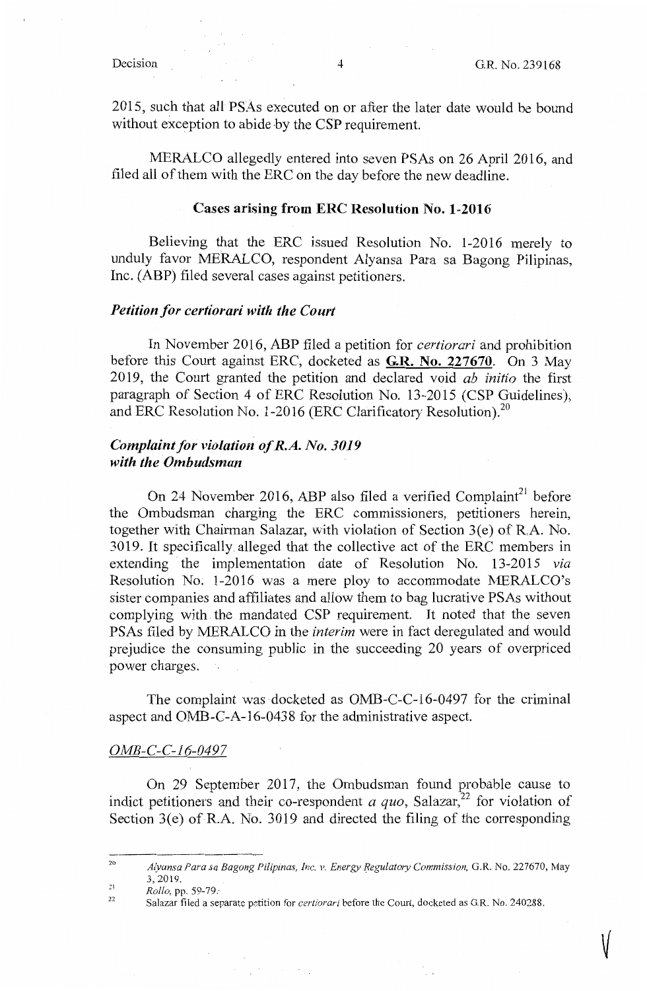V

2015, such that all PSAs executed on or after the later date would be bound without exception to abide by the CSP requirement.

MERALCO allegedly entered into seven PSAs on 26 April 2016, and filed all of them with the ERC on the day before the new deadline.

### **Cases arising from ERC Resolution No. 1-2016**

Believing that the ERC issued Resolution No. 1-2016 merely to unduly favor MERALCO, respondent Alyansa Para sa Bagong Pilipinas, Inc. (ABP) filed several cases against petitioners.

## *Petition for certiorari with the Court*

In November 2016, ABP filed a petition for *certiorari* and prohibition before this Court against ERC, docketed as **G.R. No. 227670.** On 3 May 2019, the Court granted the petition and declared void *ab initio* the first paragraph of Section 4 of ERC Resolution No. 13-2015 (CSP Guidelines), and ERC Resolution No. 1-2016 (ERC Clarificatory Resolution). $^{20}$ 

## *Complaint for violation of R.A. No. 3019 with the Ombudsman*

On 24 November 2016, ABP also filed a verified Complaint<sup>21</sup> before the Ombudsman charging the ERC commissioners, petitioners herein, together with Chairman Salazar, with violation of Section 3(e) of R,A. No. 3019. It specifically alleged that the collective act of the ERC members in extending the implementation date of Resolution No. 13-2015 *via*  Resolution No. 1-2016 was a mere ploy to accommodate MERALCO's sister companies and affiliates and allow them to bag lucrative PSAs without complying with the mandated CSP requirement. It noted that the seven PSAs filed by MERALCO in the *interim* were in fact deregulated and would prejudice the consuming public in the succeeding 20 years of overpriced power charges.

The complaint was docketed as OMB-C-C-16-0497 for the criminal aspect and OMB-C-A-16-0438 for the administrative aspect.

### OMB-C-C-16-0497

On 29 September 2017, the Ombudsman found probable cause to indict petitioners and their co-respondent  $a$  quo, Salazar,<sup>22</sup> for violation of Section  $3(e)$  of R.A. No.  $3019$  and directed the filing of the corresponding

<sup>20</sup>  2! *A(vansa Para sa Bagong Pilipinas, Inc. v. Energy Regulatory Commission,* G.R. No. 227670, May 3, 2019.

<sup>22</sup> *Rollo,* pp. 59-79:

Salazar filed a separate petition for *c2rtiorari* before the Court, docketed as G.R. No. 240288.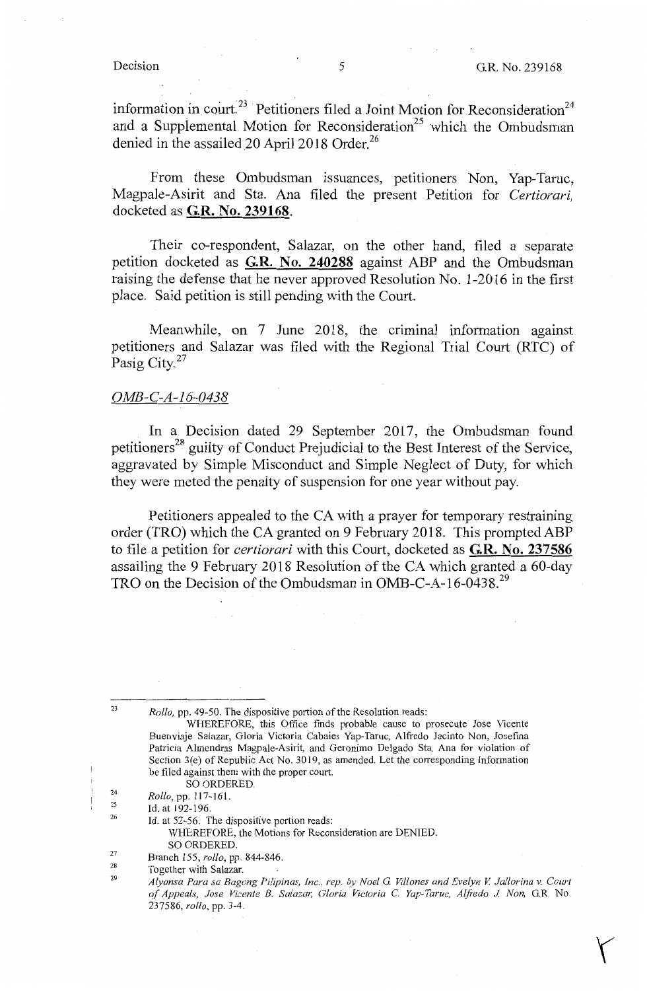*'(* 

information in court.<sup>23</sup> Petitioners filed a Joint Motion for Reconsideration<sup>24</sup> and a Supplemental Motion for Reconsideration<sup>25</sup> which the Ombudsman denied in the assailed 20 April 2018 Order. $26$ 

From these Ombudsman issuances, petitioners Non, Yap-Taruc, Magpale-Asirit and Sta. Ana filed the present Petition for *Certiorari,*  docketed as **G.R. No. 239168.** 

Their co-respondent, Salazar, on the other hand, filed a separate petition docketed as **G.R. No. 240288** against ABP and the Ombudsman raising the defense that he never approved Resolution No. 1-2016 in the first place. Said petition is still pending with the Court.

Meanwhile, on 7 June 2018, the criminal information against petitioners and Salazar was filed with the Regional Trial Court (RTC) of Pasig City.<sup>27</sup>

### *OMB-C-A-16-0438*

In a Decision dated 29 September 2017, the Ombudsman found petitioners<sup>28</sup> guilty of Conduct Prejudicial to the Best Interest of the Service, aggravated by Simple Misconduct and Simple Neglect of Duty, for which they were meted the penalty of suspension for one year without pay.

Petitioners appealed to the CA with a prayer for temporary restraining order (TRO) which the CA granted on 9 February 2018. This prompted ABP to file a petition for *certiorari* with this Court, docketed as **G.R. No. 237586**  assailing the 9 February 2018 Resolution of the CA which granted a 60-day TRO on the Decision of the Ombudsman in OMB-C-A-16-0438.<sup>29</sup>

*Rollo,* pp. 49-50. The dispositive portion of the Resolution reads:

23

WHEREFORE, this Office finds probable cause to prosecute Jose Vicente Buenviaje Salazar, Gloria Victoria Cabaies Yap-Taruc, Alfredo Jacinto Non, Josefina Patricia Almendras Magpale-Asirit, and Geronimo Delgado Sta. Ana for violation of Section 3(e) of Republic Act No. 3019, as amended. Let the corresponding Information be filed against them with the proper court.

SO ORDERED.

<sup>24</sup>  *Rollo,* pp. 117-161.

<sup>25</sup> 26 Id. at 192-196.

Id. at 52-56. The dispositive portion reads:

WHEREFORE, the Motions for Reconsideration are DENIED. SO ORDERED.

<sup>27</sup> Branch 155, *rollo,* pp. 844-846.

<sup>28</sup> 29 Together with Salazar.

*Alyansa Para sa Bagong Pilipinas, Inc., rep. by Noel G Vil/ones and Evelyn V Jallorina v. Court of Appeals, Jose Vicente* B. *Salaza,; Gloria Victoria* C. *Yap-Taruc, Alfredo* J. *Non,* G.R. No. 237586, *rollo,* pp. 3-4.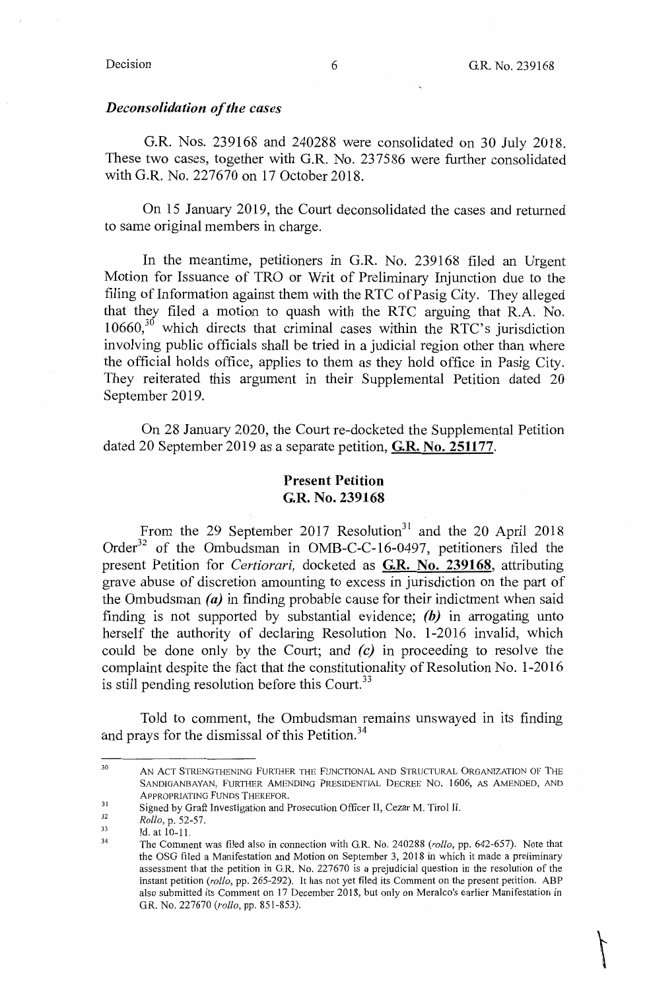$\sqrt{2}$ 

### *Deconsolidation of the cases*

G.R. Nos. 239168 and 240288 were consolidated on 30 July 2018. These two cases, together with G.R. No. 237586 were further consolidated with G.R. No. 227670 on 17 October 2018.

On 15 January 2019, the Court deconsolidated the cases and returned to same original members in charge.

In the meantime, petitioners in G.R. No. 239168 filed an Urgent Motion for Issuance of TRO or Writ of Preliminary Injunction due to the filing of Information against them with the RTC of Pasig City. They alleged that they filed a motion to quash with the RTC arguing that R.A. No.  $10660$ ,<sup>30</sup> which directs that criminal cases within the RTC's jurisdiction involving public officials shall be tried in a judicial region other than where the official holds office, applies to them as they hold office in Pasig City. They reiterated this argument in their Supplemental Petition dated 20 September 2019.

On 28 January 2020, the Court re-docketed the Supplemental Petition dated 20 September 2019 as a separate petition, **G.R. No. 251177.** 

## **Present Petition G.R. No. 239168**

From the 29 September 2017 Resolution<sup>31</sup> and the 20 April 2018 Order<sup>32</sup> of the Ombudsman in OMB-C-C-16-0497, petitioners filed the present Petition for *Certiorari,* docketed as **G.R. No. 239168,** attributing grave abuse of discretion amounting to excess in jurisdiction on the part of the Ombudsman  $(a)$  in finding probable cause for their indictment when said finding is not supported by substantial evidence; *(b)* in arrogating unto herself the authority of declaring Resolution No. 1-2016 invalid, which could be done only by the Court; and *(c)* in proceeding to resolve the complaint despite the fact that the constitutionality of Resolution No. 1-2016 is still pending resolution before this Court.<sup>33</sup>

Told to comment, the Ombudsman remains unswayed in its finding and prays for the dismissal of this Petition.<sup>34</sup>

<sup>30</sup> AN ACT STRENGTHENING FURTHER THE FUNCTIONAL AND STRUCTURAL ORGANIZATION OF THE SANDIGANBAYAN, FURTHER AMENDING PRESIDENTIAL DECREE No. 1606, AS AMENDED, AND APPROPRIATING FUNDS THEREFOR.

<sup>31</sup> Signed by Graft Investigation and Prosecution Officer II, Cezar M. Tirol II.

<sup>32</sup> *Rollo,* p. 52-57.

<sup>33</sup> 34 Id. at 10-11.

The Comment was filed also in connection with G.R. No. 240288 *(rollo,* pp. 642-657). Note that the OSG filed a Manifestation and Motion on September 3, 2018 in which it made a preliminary assessment that the petition in G.R. No. 227670 is a prejudicial question in the resolution of the instant petition *(rollo,* pp. 265-292). It has not yet filed its Comment on the present petition. ABP also submitted its Comment on 17 December 2018, but only on Meralco's earlier Manifestation in G.R. No. 227670 *(rollo,* pp. 851-853).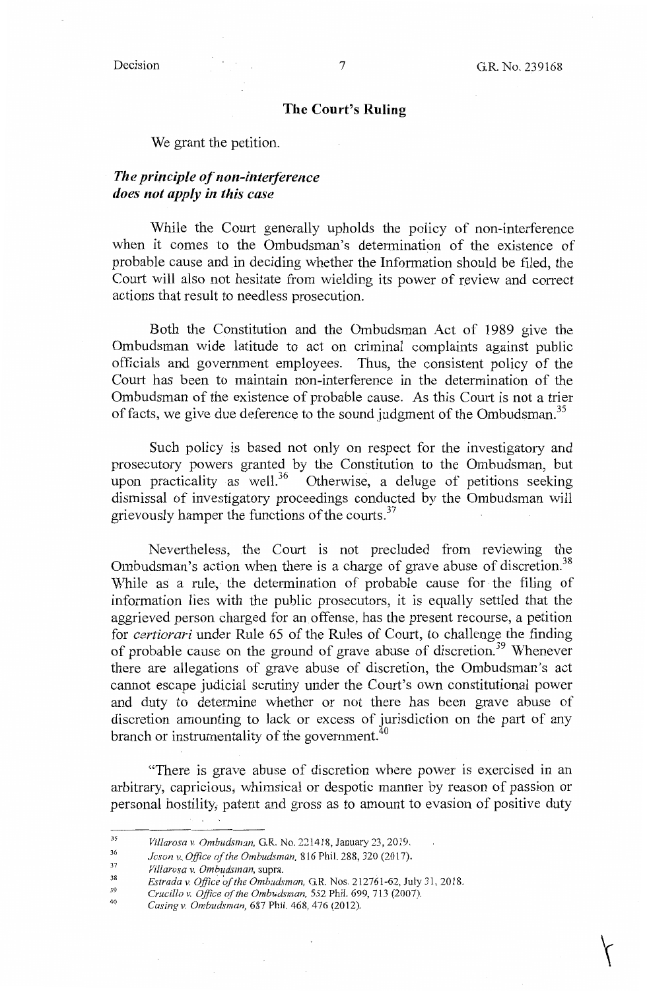$\left\langle \cdot \right\rangle$ 

## **The Court's Ruling**

We grant the petition.

# *The principle of non-interference does not apply in this case*

While the Court generally upholds the policy of non-interference when it comes to the Ombudsman's determination of the existence of probable cause and in deciding whether the Information should be filed, the Court will also not hesitate from wielding its power of review and correct actions that result to needless prosecution.

Both the Constitution and the Ombudsman Act of 1989 give the Ombudsman wide latitude to act on criminal complaints against public officials and government employees. Thus, the consistent policy of the Court has been to maintain non-interference in the determination of the Ombudsman of the existence of probable cause. As this Court is not a trier of facts, we give due deference to the sound judgment of the Ombudsman.<sup>35</sup>

Such policy is based not only on respect for the investigatory and prosecutory powers granted by the Constitution to the Ombudsman, but upon practicality as well.<sup>36</sup> Otherwise, a deluge of petitions seeking dismissal of investigatory proceedings conducted by the Ombudsman will grievously hamper the functions of the courts.<sup>37</sup>

Nevertheless, the Court is not precluded from reviewing the Ombudsman's action when there is a charge of grave abuse of discretion.<sup>38</sup> While as a rule, the determination of probable cause for the filing of information lies with the public prosecutors, it is equally settled that the aggrieved person charged for an offense, has the present recourse, a petition for *certiorari* under Rule 65 of the Rules of Court, to challenge the finding of probable cause on the ground of grave abuse of discretion.<sup>39</sup> Whenever there are allegations of grave abuse of discretion, the Ombudsman's act cannot escape judicial scrutiny under the Court's own constitutional power and duty to determine whether or not there has been grave abuse of discretion amounting to lack or excess of jurisdiction on the part of any branch or instrumentality of the government. $40$ 

"There is grave abuse of discretion where power is exercised in an arbitrary, capricious; whimsical or despotic manner by reason of passion or personal hostility, patent and gross as to amount to evasion of positive duty

L.

<sup>35</sup>  *Villarosa v. Ombudsman,* G.R. No. 221418, January 23, 2019.

<sup>36</sup>  *Joson v. Office of the Ombudsman,* 816 Phil. 288, 320 (2017).

<sup>37</sup> *Villarosa v. Ombudsman,* supra.

<sup>38</sup> 39 *Estrada v. Office of the Ombudsman,* G.R. Nos. 212761-62, July 31, 2018.

*Crucillo v. Office of the Ombudrnian,* 552 Phil. 699, 713 (2007).

<sup>40</sup> *Casingv. Ombudsman,* 687 Phil. 468,476 (2012).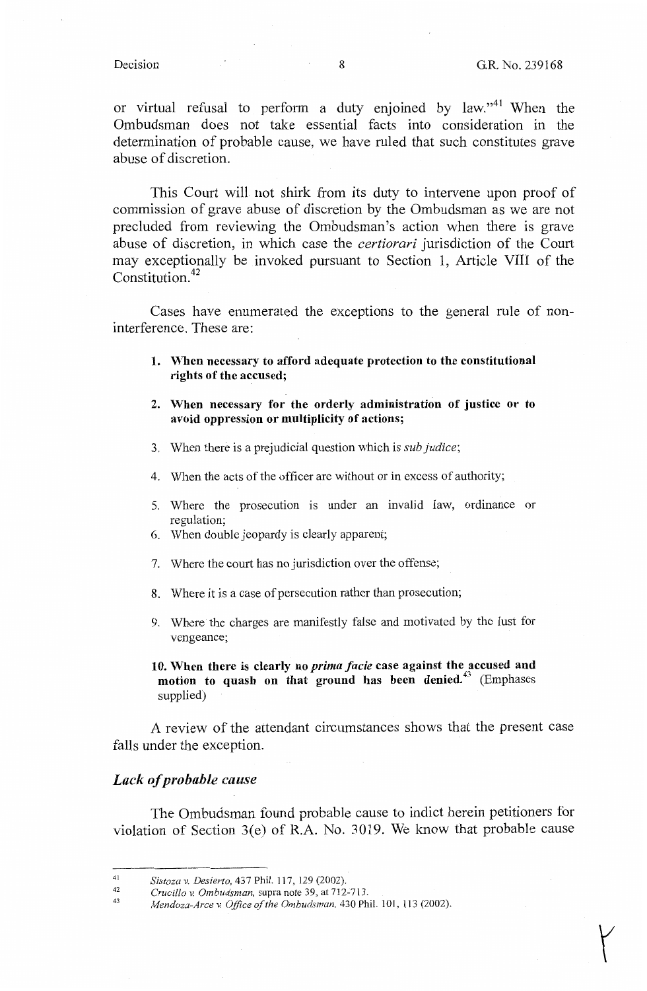$\bigg\{$ 

or virtual refusal to perform a duty enjoined by law."<sup>41</sup> When the Ombudsman does not take essential facts into consideration in the determination of probable cause, we have ruled that such constitutes grave abuse of discretion.

This Court will not shirk from its duty to intervene upon proof of commission of grave abuse of discretion by the Ombudsman as we are not precluded from reviewing the Ombudsman's action when there is grave abuse of discretion, in which case the *certiorari* jurisdiction of the Court may exceptionally be invoked pursuant to Section 1, Article VIII of the Constitution. $42$ 

Cases have enumerated the exceptions to the general rule of noninterference. These are:

- **1. When necessary to afford adequate protection to the constitutional rights of the accused;**
- **2. When necessary for the orderly administration of justice or to avoid oppression or multiplicity of actions;**
- 3. When there is a prejudicial question which is *sub Judice;*
- 4. When the acts of the officer are without or in excess of authority;
- 5. Where the prosecution is under an invalid law, ordinance or regulation;
- 6. When double jeopardy is clearly apparent;
- 7. Where the court has no jurisdiction over the offense;
- 8. Where it is a case of persecution rather than prosecution;
- 9. Where the charges are manifestly false and motivated by the lust for vengeance;

**10. When there is clearly no** *prima facie* **case against the accused and motion to quash on that ground has been denied.<sup>43</sup>**(Emphases supplied)

A review of the attendant circumstances shows that the present case falls under the exception.

### *Lack of probable cause*

The Ombudsman found probable cause to indict herein petitioners for violation of Section 3(e) of R.A. No. 3019. We know that probable cause

<sup>41</sup>  *Sistozu v. Desierto,* 437 Phil. 117, 129 (2002).

<sup>42</sup>  *Crucillo v. Ombudsman,* supra note 39, at 712-713.

<sup>43</sup> *Mendoza-Arce v. Office of the Ombudsman.* 430 Phil. 101, 113 (2002).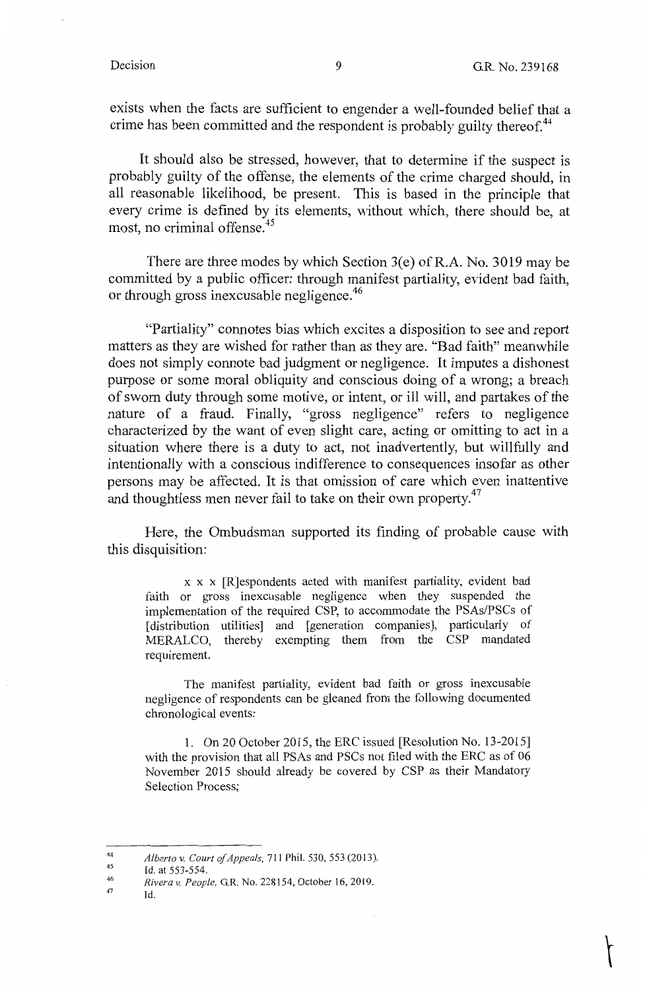$\uparrow$ 

exists when the facts are sufficient to engender a well-founded belief that a crime has been committed and the respondent is probably guilty thereof.<sup>44</sup>

It should also be stressed, however, that to determine if the suspect is probably guilty of the offense, the elements of the crime charged should, in all reasonable likelihood, be present. This is based in the principle that every crime is defined by its elements, without which, there should be, at most, no criminal offense.<sup>45</sup>

There are three modes by which Section  $3(e)$  of R.A. No. 3019 may be committed by a public officer: through manifest partiality, evident bad faith, or through gross inexcusable negligence.<sup>46</sup>

"Partiality" connotes bias which excites a disposition to see and report matters as they are wished for rather than as they are. "Bad faith" meanwhile does not simply connote bad judgment or negligence. It imputes a dishonest purpose or some moral obliquity and conscious doing of a wrong; a breach of sworn duty through some motive, or intent, or ill will, and partakes of the nature of a fraud. Finally, "gross negligence" refers to negligence characterized by the want of even slight care, acting or omitting to act in a situation where there is a duty to act, not inadvertently, but willfully and intentionally with a conscious indifference to consequences insofar as other persons may be affected. It is that omission of care which even inattentive and thoughtless men never fail to take on their own property. $47$ 

Here, the Ombudsman supported its finding of probable cause with this disquisition:

x x x [R]espondents acted with manifest partiality, evident bad faith or gross inexcusable negligence when they suspended the implementation of the required CSP, to accommodate the PSAs/PSCs of [ distribution utilities] and [generation companies], particularly of MERALCO, thereby exempting them from the CSP mandated requirement.

The manifest partiality, evident bad faith or gross inexcusable negligence of respondents can be gleaned from the following documented chronological events:

1. On 20 October 2015, the ERC issued [Resolution No. 13-2015] with the provision that all PSAs and PSCs not filed with the ERC as of 06 November 2015 should already be covered by CSP as their Mandatory Selection Process;

47 Id.

<sup>44</sup> *Alberto* v. *Court of Appeals,* 711 Phil. 530,553 (2013).

<sup>45</sup> Id. at 553-554.

<sup>46</sup>  *Rivera* v. *People,* G.R. No. 228154, October 16, 2019.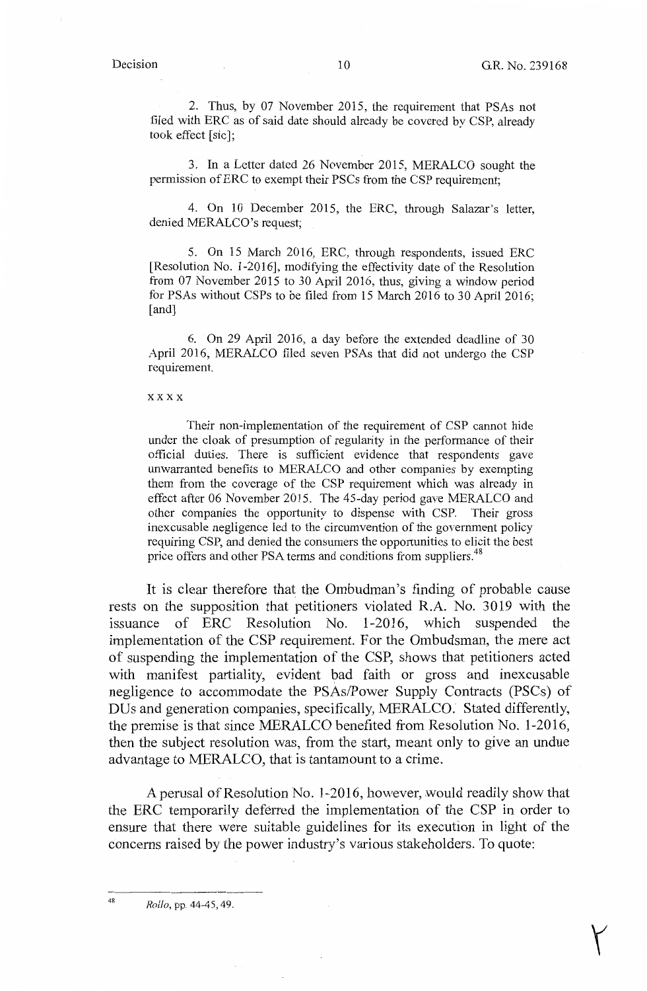$\bigg($ 

2. Thus, by 07 November 2015, the requirement that PSAs not filed with ERC as of said date should already be covered by CSP, already took effect [sic];

3. In a Letter dated 26 November 2015, MERALCO sought the permission of ERC to exempt their PSCs from the CSP requirement;

4. On 10 December 2015, the ERC, through Salazar's letter, denied MERALCO's request;

5. On 15 March 2016, ERC, through respondents, issued ERC [Resolution No. 1-2016], modifying the effectivity date of the Resolution from 07 November 2015 to 30 April 2016, thus, giving a window period for PSAs without CSPs to be filed from 15 March 2016 to 30 April 2016; [and]

6. On 29 April 2016, a day before the extended deadline of 30 April 2016, MERALCO filed seven PSAs that did not undergo the CSP requirement.

### xxxx

Their non-implementation of the requirement of CSP cannot hide under the cloak of presumption of regularity in the performance of their official duties. There is sufficient evidence that respondents gave unwarranted benefits to MERALCO and other companies by exempting them from the coverage of the CSP requirement which was already in effect after 06 November 2015. The 45-day period gave MERALCO and other companies the opportunity to dispense with CSP. Their gross inexcusable negligence led to the circumvention of the government policy requiring CSP, and denied the consumers the opportunities to elicit the best price offers and other PSA terms and conditions from suppliers.<sup>48</sup>

It is clear therefore that the Ombudman's finding of probable cause rests on the supposition that petitioners violated R.A. No. 3019 with the issuance of ERC Resolution No. 1-2016, which suspended the implementation of the CSP requirement. For the Ombudsman, the mere act of suspending the implementation of the CSP, shows that petitioners acted with manifest partiality, evident bad faith or gross and inexcusable negligence to accommodate the PSAs/Power Supply Contracts (PSCs) of DUs and generation companies, specifically, MERALCO. Stated differently, the premise is that since MERALCO benefited from Resolution No. 1-2016, then the subject resolution was, from the start, meant only to give an undue advantage to MERALCO, that is tantamount to a crime.

A perusal of Resolution No. 1-2016, however, would readily show that the ERC temporarily deferred the implementation of the CSP in order to ensure that there were suitable guidelines for its execution in light of the concerns raised by the power industry's various stakeholders. To quote:

<sup>48</sup>*Rollo,* pp. 44-45, 49.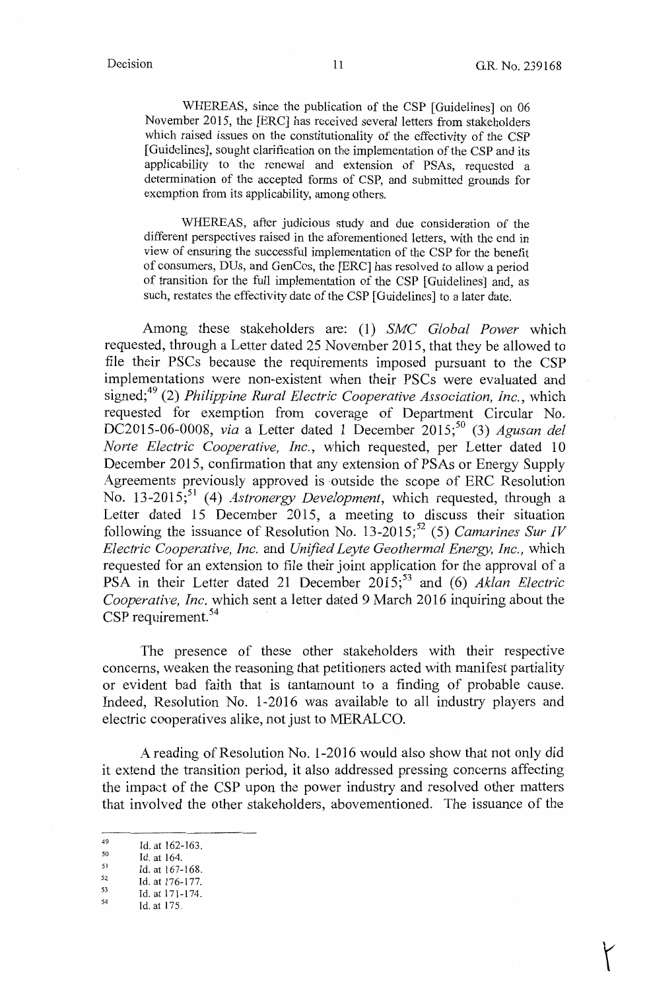$($ 

WHEREAS, since the publication of the CSP [Guidelines] on 06 November 2015, the [ERC] has received several letters from stakeholders which raised issues on the constitutionality of the effectivity of the CSP [Guidelines], sought clarification on the implementation of the CSP and its applicability to the renewal and extension of PSAs, requested a determination of the accepted forms of CSP, and submitted grounds for exemption from its applicability, among others.

WHEREAS, after judicious study and due consideration of the different perspectives raised in the aforementioned letters, with the end in view of ensuring the successful implementation of the CSP for the benefit of consumers, DUs, and GenCos, the [ERC] has resolved to allow a period of transition for the full implementation of the CSP [Guidelines] and, as such, restates the effectivity date of the CSP [Guidelines] to a later date.

Among these stakeholders are: (1) *SMC Global Power* which requested, through a Letter dated 25 November 2015, that they be allowed to file their PSCs because the requirements imposed pursuant to the CSP implementations were non-existent when their PSCs were evaluated and signed;49 (2) *Philippine Rural Electric Cooperative Association, Inc.,* which requested for exemption from coverage of Department Circular No. DC2015-06-0008, *via* a Letter dated 1 December 2015;<sup>50</sup> (3) *Agusan del Norte Electric Cooperative, Inc.,* which requested, per Letter dated 10 December 2015, confirmation that any extension of PSAs or Energy Supply Agreements previously approved is outside the scope of ERC Resolution No. 13-2015;<sup>51</sup> (4) *Astronergy Development*, which requested, through a Letter dated 15 December 2015, a meeting to discuss their situation following the issuance of Resolution No.  $13-2015$ ;<sup>52</sup> (5) *Camarines Sur IV Electric Cooperative, Inc.* and *Unified Leyte Geothermal Energy, Inc.,* which requested for an extension to file their joint application for the approval of a PSA in their Letter dated 21 December 2015;<sup>53</sup> and (6) *Aklan Electric Cooperative, Inc.* which sent a letter dated 9 March 2016 inquiring about the CSP requirement.<sup>54</sup>

The presence of these other stakeholders with their respective concerns, weaken the reasoning that petitioners acted with manifest partiality or evident bad faith that is tantamount to a finding of probable cause. Indeed, Resolution No. 1-2016 was available to all industry players and electric cooperatives alike, not just to MERALCO.

A reading of Resolution No. 1-2016 would also show that not only did it extend the transition period, it also addressed pressing concerns affecting the impact of the CSP upon the power industry and resolved other matters that involved the other stakeholders, abovementioned. The issuance of the

- $^{51}$  Id. at 167-168.
- $^{52}$  Id. at 176-177.  $^{53}$  Id. at 171-174.

 $^{49}$  Id. at 162-163.

 $\begin{array}{cc} 50 & \text{Id. at } 164. \\ 51 & \text{Id. at } 167. \end{array}$ 

 $^{54}$  Id. at 175.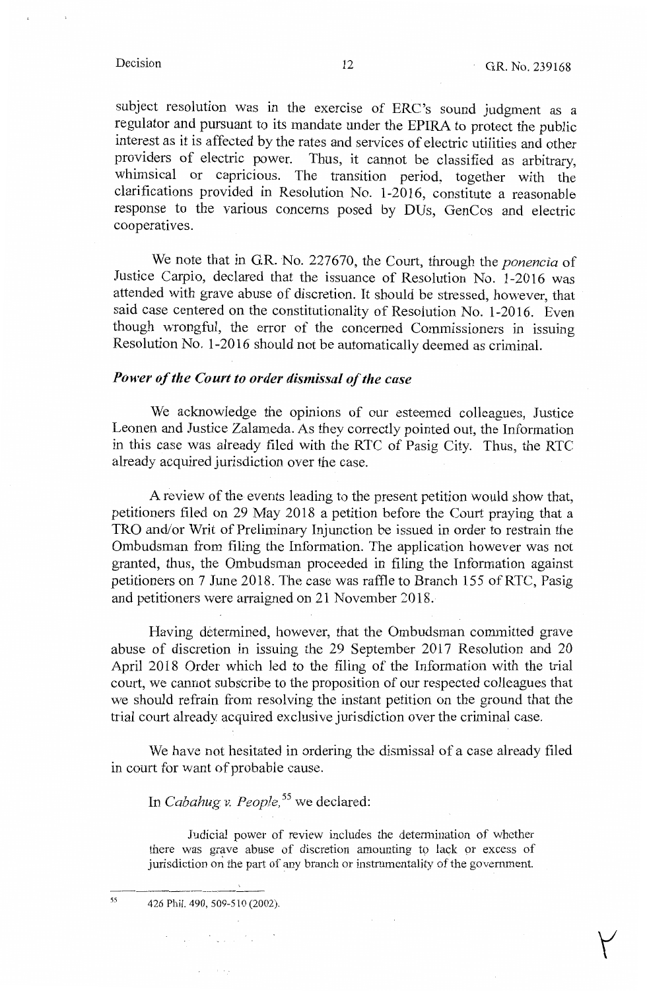y

subject resolution was in the exercise of ERC's sound judgment as a regulator and pursuant to its mandate under the EPIRA to protect the public interest as it is affected by the rates and services of electric utilities and other providers of electric power. Thus, it cannot be classified as arbitrary, whimsical or capricious. The transition period, together with the clarifications provided in Resolution No. 1-2016, constitute a reasonable response to the various concerns posed by DUs, GenCos and electric cooperatives.

We note that in GR. No. 227670, the Court, through the *ponencia* of Justice Carpio, declared that the issuance of Resolution No. 1-2016 was attended with grave abuse of discretion. It should be stressed, however, that said case centered on the constitutionality of Resolution No. 1-2016. Even though wrongful, the error of the concerned Commissioners in issuing Resolution No. 1-2016 should not be automatically deemed as criminal.

## *Power of the Court to order dismissal of the case*

We acknowledge the opinions of our esteemed colleagues, Justice Leonen and Justice Zalameda. As they correctly pointed out, the Information in this case was already filed with the RTC of Pasig City. Thus, the RTC already acquired jurisdiction over the case.

A review of the events leading to the present petition would show that, petitioners filed on 29 May 2018 a petition before the Court praying that a TRO and/or Writ of Preliminary Injunction be issued in order to restrain the Ombudsman from filing the Information. The application however was not granted, thus, the Ombudsman proceeded in filing the Information against petitioners on 7 June 2018. The case was raffle to Branch 155 of RTC, Pasig and petitioners were arraigned on 21 November 2018.

Having determined, however, that the Ombudsman committed grave abuse of discretion in issuing the 29 September 2017 Resolution and 20 April 2018 Order which led to the filing of the Information with the trial court, we cannot subscribe to the proposition of our respected colleagues that we should refrain from resolving the instant petition on the ground that the trial court already acquired exclusive jurisdiction over the criminal case.

We have not hesitated in ordering the dismissal of a case already filed in court for want of probable cause.

In *Cabahug v. People,* 55 we declared:

Judicial power of review includes the determination of whether there was grave abuse of discretion amounting to lack or excess of jurisdiction on the part of any branch or instrumentality of the government.

55

426 Phil. 490, 509-510 (2002).

 $\label{eq:2.1} \mathcal{A}^{(1)} = \mathcal{A}^{(1)} = \mathcal{A}^{(1)} = \mathcal{A}^{(1)} = \mathcal{A}^{(1)} = \mathcal{A}^{(1)} = \mathcal{A}^{(1)}$ 

 $\mathcal{L}^{\text{max}}$  , and  $\mathcal{L}^{\text{max}}$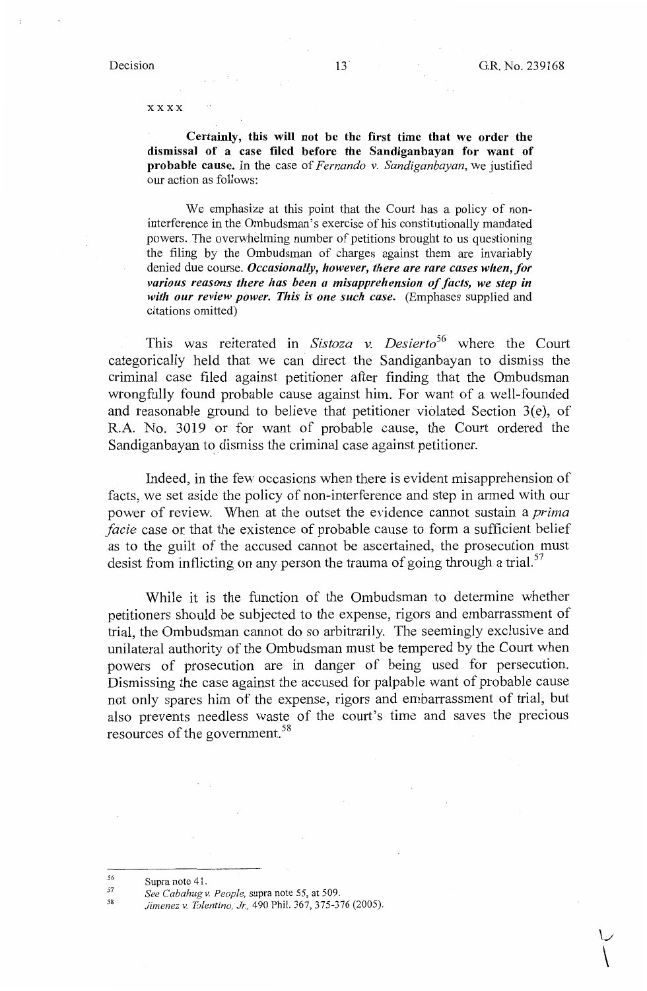*\J*   $\setminus$ 

xxxx

**Certainly, this will not be the first time that we order the dismissal of a case filed before the Sandiganbayan for want of probable cause.** In the case of *Fernando v. Sandiganbayan,* we justified our action as follows:

We emphasize at this point that the Court has a policy of noninterference in the Ombudsman's exercise of his constitutionally mandated powers. The overwhelming number of petitions brought to us questioning the filing by the Ombudsman of charges against them are invariably denied due course. *Occasionally, however, there are rare cases when, for various reasons there has been a misapprehension of facts, we step in with our review power. This is one such case.* (Emphases supplied and citations omitted)

This was reiterated in *Sistoza v. Desierto*<sup>56</sup> where the Court categorically held that we can direct the Sandiganbayan to dismiss the criminal case filed against petitioner after finding that the Ombudsman wrongfully found probable cause against him. For want of a well-founded and reasonable ground to believe that petitioner violated Section  $3(e)$ , of R.A. No. 3019 or for want of probable cause, the Court ordered the Sandiganbayan to dismiss the criminal case against petitioner.

Indeed, in the few occasions when there is evident misapprehension of facts, we set aside the policy of non-interference and step in armed with our power of review. When at the outset the evidence cannot sustain a *prima facie* case or that the existence of probable cause to form a sufficient belief as to the guilt of the accused cannot be ascertained, the prosecution must desist from inflicting on any person the trauma of going through a trial.<sup>57</sup>

While it is the function of the Ombudsman to determine whether petitioners should be subjected to the expense, rigors and embarrassment of trial, the Ombudsman cannot do so arbitrarily. The seemingly exclusive and unilateral authority of the Ombudsman must be tempered by the Court when powers of prosecution are in danger of being used for persecution. Dismissing the case against the accused for palpable want of probable cause not only spares him of the expense, rigors and embarrassment of trial, but also prevents needless waste of the court's time and saves the precious resources of the government. 58

<sup>56</sup> Supra note 41.

<sup>57</sup>  *See Cabahugv. People,* supra note 55, at 509.

<sup>58</sup> *Jimenez v. Tolentino, Jr.,* 490 Phil. 367, 375-376 (2005).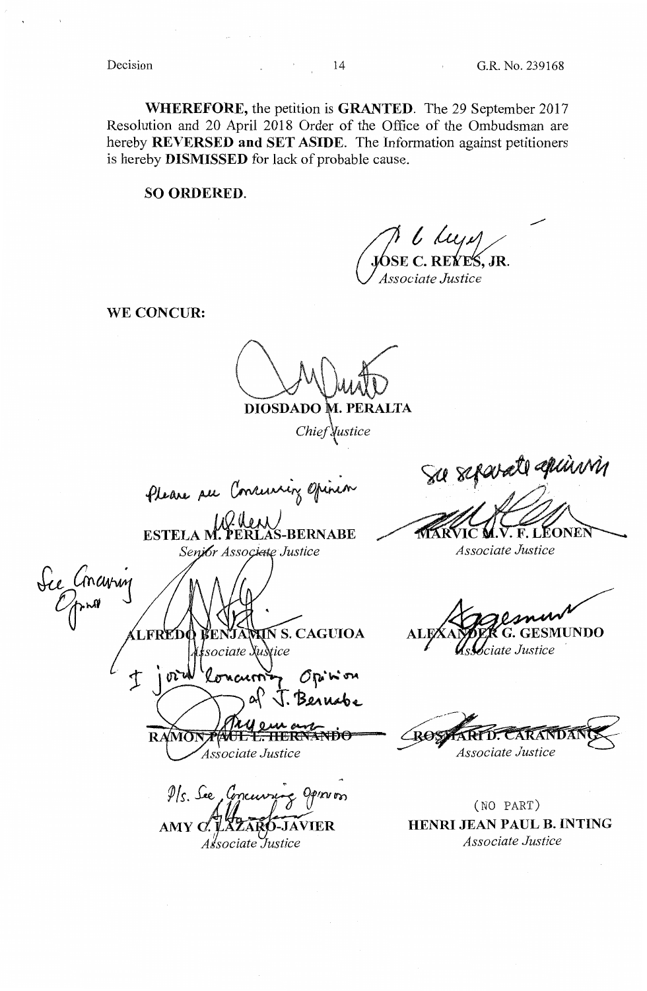**WHEREFORE,** the petition is **GRANTED.** The 29 September 2017 Resolution and 20 April 2018 Order of the Office of the Ombudsman are hereby **REVERSED and SET ASIDE.** The Information against petitioners is hereby **DISMISSED** for lack of probable cause.

**SO ORDERED.** 

**6SE C. REVES, JR**.<br>Associate Justice \_..,.,.

**WE CONCUR:** 

**DIOSDADO .PERALTA** 

Chief *<u>Nustice</u>* 

Please see Conruising opinion

 $100$  then  $\prime$ **ESTELA M. PERLAS-BERNABE** Senior Associate Justice

See Concuring **Ń S. CAGUIOA** sociate Xus tice  $\mathfrak T$  $O_{\mathcal{V}}$  in  $\sigma$ **RAMO** JE E<del>. HERI</del> Associate Justice

 $9$ /s. See, Concurre AMY  ${\it C\! \! \cdot \,} \mathbf{l}$ *~isociate -:Justice* 

Sa scharant denne in

*Associate Justice* 

EONEI

ROSI **ARANDA** Associate Justice

(NO PART) **HENRI JEAN PAUL B. INTING**  *Associate Justice*